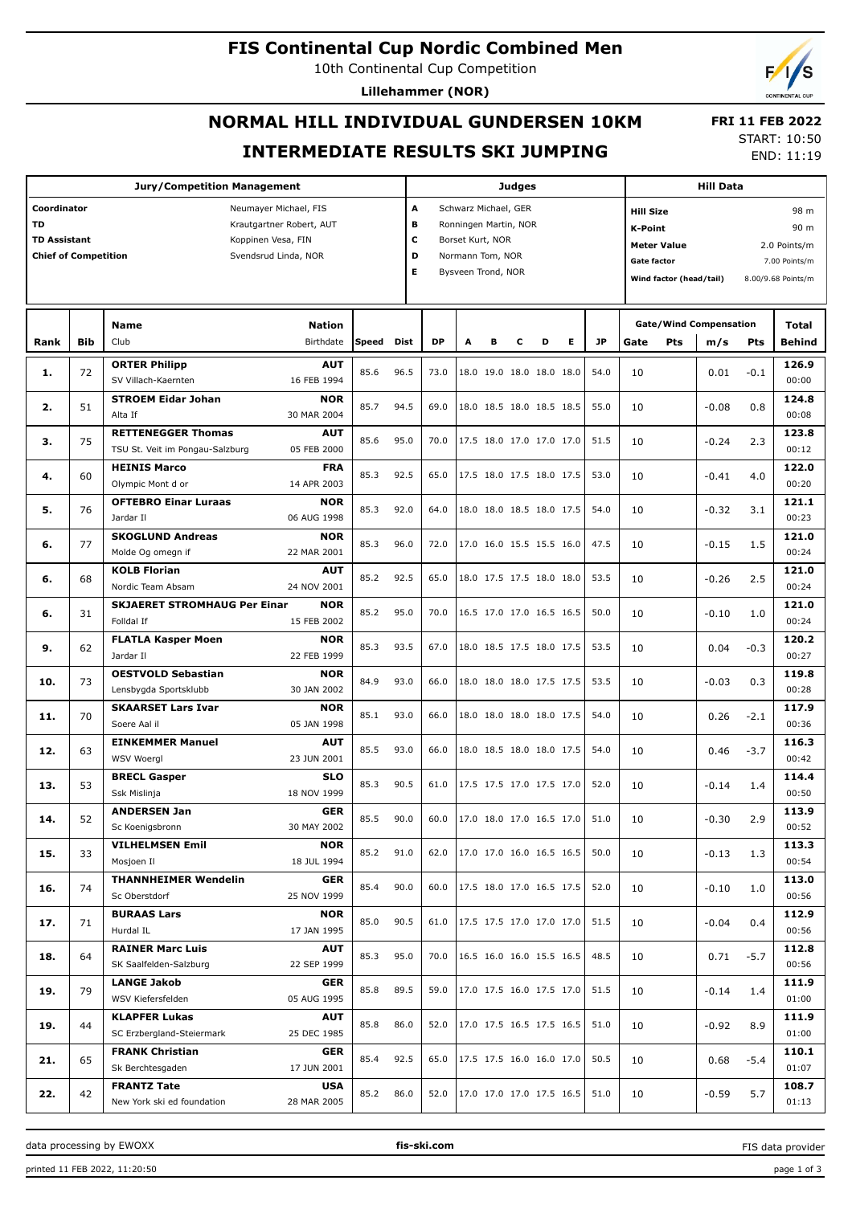#### **FIS Continental Cup Nordic Combined Men**

10th Continental Cup Competition

**Lillehammer (NOR)**

# **NORMAL HILL INDIVIDUAL GUNDERSEN 10KM INTERMEDIATE RESULTS SKI JUMPING**

 **FRI 11 FEB 2022** START: 10:50

END: 11:19

|                                                                                |            | <b>Judges</b>                                                                                   |              |           |                                                                                                                                       |   |   |   |                          | <b>Hill Data</b> |           |                                                                                                                                                 |     |                               |        |                               |
|--------------------------------------------------------------------------------|------------|-------------------------------------------------------------------------------------------------|--------------|-----------|---------------------------------------------------------------------------------------------------------------------------------------|---|---|---|--------------------------|------------------|-----------|-------------------------------------------------------------------------------------------------------------------------------------------------|-----|-------------------------------|--------|-------------------------------|
| Coordinator<br><b>TD</b><br><b>TD Assistant</b><br><b>Chief of Competition</b> |            | Neumayer Michael, FIS<br>Krautgartner Robert, AUT<br>Koppinen Vesa, FIN<br>Svendsrud Linda, NOR |              |           | A<br>Schwarz Michael, GER<br>в<br>Ronningen Martin, NOR<br>c<br>Borset Kurt, NOR<br>D<br>Normann Tom, NOR<br>E.<br>Bysveen Trond, NOR |   |   |   |                          |                  |           | <b>Hill Size</b><br><b>K-Point</b><br><b>Meter Value</b><br>2.0 Points/m<br><b>Gate factor</b><br>Wind factor (head/tail)<br>8.00/9.68 Points/m |     |                               |        | 98 m<br>90 m<br>7.00 Points/m |
|                                                                                |            | <b>Nation</b><br><b>Name</b>                                                                    |              |           |                                                                                                                                       |   |   |   |                          |                  |           |                                                                                                                                                 |     | <b>Gate/Wind Compensation</b> |        | Total                         |
| Rank                                                                           | <b>Bib</b> | Club<br>Birthdate                                                                               | <b>Speed</b> | Dist      | <b>DP</b>                                                                                                                             | A | в | с | D                        | Е                | <b>JP</b> | Gate                                                                                                                                            | Pts | m/s                           | Pts    | <b>Behind</b>                 |
| 1.                                                                             | 72         | <b>ORTER Philipp</b><br><b>AUT</b><br>SV Villach-Kaernten<br>16 FEB 1994                        | 85.6         | 96.5      | 73.0                                                                                                                                  |   |   |   | 18.0 19.0 18.0 18.0 18.0 |                  | 54.0      | 10                                                                                                                                              |     | 0.01                          | $-0.1$ | 126.9<br>00:00                |
| 2.                                                                             | 51         | <b>STROEM Eidar Johan</b><br><b>NOR</b><br>30 MAR 2004<br>Alta If                               | 85.7         | 94.5      | 69.0                                                                                                                                  |   |   |   | 18.0 18.5 18.0 18.5 18.5 |                  | 55.0      | 10                                                                                                                                              |     | $-0.08$                       | 0.8    | 124.8<br>00:08                |
| з.                                                                             | 75         | <b>RETTENEGGER Thomas</b><br><b>AUT</b><br>TSU St. Veit im Pongau-Salzburg<br>05 FEB 2000       | 85.6         | 95.0      | 70.0                                                                                                                                  |   |   |   | 17.5 18.0 17.0 17.0 17.0 |                  | 51.5      | 10                                                                                                                                              |     | $-0.24$                       | 2.3    | 123.8<br>00:12                |
| 4.                                                                             | 60         | <b>HEINIS Marco</b><br><b>FRA</b><br>14 APR 2003<br>Olympic Mont d or                           | 85.3         | 92.5      | 65.0                                                                                                                                  |   |   |   | 17.5 18.0 17.5 18.0 17.5 |                  | 53.0      | 10                                                                                                                                              |     | $-0.41$                       | 4.0    | 122.0<br>00:20                |
| 5.                                                                             | 76         | <b>OFTEBRO Einar Luraas</b><br><b>NOR</b><br>06 AUG 1998<br>Jardar II                           | 85.3         | 92.0      | 64.0                                                                                                                                  |   |   |   | 18.0 18.0 18.5 18.0 17.5 |                  | 54.0      | 10                                                                                                                                              |     | $-0.32$                       | 3.1    | 121.1<br>00:23                |
| 6.                                                                             | 77         | <b>SKOGLUND Andreas</b><br><b>NOR</b><br>Molde Og omegn if<br>22 MAR 2001                       | 85.3         | 96.0      | 72.0                                                                                                                                  |   |   |   | 17.0 16.0 15.5 15.5 16.0 |                  | 47.5      | 10                                                                                                                                              |     | $-0.15$                       | 1.5    | 121.0<br>00:24                |
| 6.                                                                             | 68         | <b>KOLB Florian</b><br><b>AUT</b><br>24 NOV 2001<br>Nordic Team Absam                           | 85.2         | 92.5      | 65.0                                                                                                                                  |   |   |   | 18.0 17.5 17.5 18.0 18.0 |                  | 53.5      | 10                                                                                                                                              |     | $-0.26$                       | 2.5    | 121.0<br>00:24                |
| 6.                                                                             | 31         | <b>SKJAERET STROMHAUG Per Einar</b><br><b>NOR</b><br>Folldal If<br>15 FEB 2002                  | 85.2         | 95.0      | 70.0                                                                                                                                  |   |   |   | 16.5 17.0 17.0 16.5 16.5 |                  | 50.0      | 10                                                                                                                                              |     | $-0.10$                       | 1.0    | 121.0<br>00:24                |
| 9.                                                                             | 62         | <b>FLATLA Kasper Moen</b><br><b>NOR</b><br>22 FEB 1999<br>Jardar II                             | 85.3         | 93.5      | 67.0                                                                                                                                  |   |   |   | 18.0 18.5 17.5 18.0 17.5 |                  | 53.5      | 10                                                                                                                                              |     | 0.04                          | $-0.3$ | 120.2<br>00:27                |
| 10.                                                                            | 73         | <b>OESTVOLD Sebastian</b><br><b>NOR</b><br>Lensbygda Sportsklubb<br>30 JAN 2002                 | 84.9         | 93.0      | 66.0                                                                                                                                  |   |   |   | 18.0 18.0 18.0 17.5 17.5 |                  | 53.5      | 10                                                                                                                                              |     | $-0.03$                       | 0.3    | 119.8<br>00:28                |
| 11.                                                                            | 70         | <b>SKAARSET Lars Ivar</b><br><b>NOR</b><br>05 JAN 1998<br>Soere Aal il                          | 85.1         | 93.0      | 66.0                                                                                                                                  |   |   |   | 18.0 18.0 18.0 18.0 17.5 |                  | 54.0      | 10                                                                                                                                              |     | 0.26                          | $-2.1$ | 117.9<br>00:36                |
| 12.                                                                            | 63         | <b>EINKEMMER Manuel</b><br><b>AUT</b><br>23 JUN 2001<br><b>WSV Woergl</b>                       | 85.5         | 93.0      | 66.0                                                                                                                                  |   |   |   | 18.0 18.5 18.0 18.0 17.5 |                  | 54.0      | 10                                                                                                                                              |     | 0.46                          | $-3.7$ | 116.3<br>00:42                |
| 13.                                                                            | 53         | <b>BRECL Gasper</b><br><b>SLO</b><br>18 NOV 1999<br>Ssk Mislinja                                | 85.3         | 90.5      | 61.0                                                                                                                                  |   |   |   | 17.5 17.5 17.0 17.5 17.0 |                  | 52.0      | 10                                                                                                                                              |     | $-0.14$                       | 1.4    | 114.4<br>00:50                |
| 14.                                                                            | 52         | <b>ANDERSEN Jan</b><br><b>GER</b><br>Sc Koenigsbronn<br>30 MAY 2002                             |              | 85.5 90.0 | 60.0                                                                                                                                  |   |   |   | 17.0 18.0 17.0 16.5 17.0 |                  | 51.0      | 10                                                                                                                                              |     | $-0.30$                       | 2.9    | 113.9<br>00:52                |
| 15.                                                                            | 33         | <b>VILHELMSEN Emil</b><br><b>NOR</b><br>18 JUL 1994<br>Mosjoen Il                               | 85.2         | 91.0      | 62.0                                                                                                                                  |   |   |   | 17.0 17.0 16.0 16.5 16.5 |                  | 50.0      | 10                                                                                                                                              |     | $-0.13$                       | 1.3    | 113.3<br>00:54                |
| 16.                                                                            | 74         | <b>THANNHEIMER Wendelin</b><br>GER<br>25 NOV 1999<br>Sc Oberstdorf                              | 85.4         | 90.0      | 60.0                                                                                                                                  |   |   |   | 17.5 18.0 17.0 16.5 17.5 |                  | 52.0      | 10                                                                                                                                              |     | $-0.10$                       | 1.0    | 113.0<br>00:56                |
| 17.                                                                            | 71         | <b>BURAAS Lars</b><br><b>NOR</b><br>Hurdal IL<br>17 JAN 1995                                    | 85.0         | 90.5      | 61.0                                                                                                                                  |   |   |   | 17.5 17.5 17.0 17.0 17.0 |                  | 51.5      | 10                                                                                                                                              |     | $-0.04$                       | 0.4    | 112.9<br>00:56                |
| 18.                                                                            | 64         | <b>RAINER Marc Luis</b><br><b>AUT</b><br>22 SEP 1999<br>SK Saalfelden-Salzburg                  | 85.3         | 95.0      | 70.0                                                                                                                                  |   |   |   | 16.5 16.0 16.0 15.5 16.5 |                  | 48.5      | 10                                                                                                                                              |     | 0.71                          | $-5.7$ | 112.8<br>00:56                |
| 19.                                                                            | 79         | <b>LANGE Jakob</b><br>GER<br>05 AUG 1995<br>WSV Kiefersfelden                                   | 85.8         | 89.5      | 59.0                                                                                                                                  |   |   |   | 17.0 17.5 16.0 17.5 17.0 |                  | 51.5      | 10                                                                                                                                              |     | $-0.14$                       | 1.4    | 111.9<br>01:00                |
| 19.                                                                            | 44         | <b>KLAPFER Lukas</b><br><b>AUT</b><br>SC Erzbergland-Steiermark<br>25 DEC 1985                  | 85.8         | 86.0      | 52.0                                                                                                                                  |   |   |   | 17.0 17.5 16.5 17.5 16.5 |                  | 51.0      | 10                                                                                                                                              |     | $-0.92$                       | 8.9    | 111.9<br>01:00                |
| 21.                                                                            | 65         | <b>FRANK Christian</b><br>GER<br>Sk Berchtesgaden<br>17 JUN 2001                                | 85.4         | 92.5      | 65.0                                                                                                                                  |   |   |   | 17.5 17.5 16.0 16.0 17.0 |                  | 50.5      | 10                                                                                                                                              |     | 0.68                          | $-5.4$ | 110.1<br>01:07                |
| 22.                                                                            | 42         | <b>FRANTZ Tate</b><br><b>USA</b><br>New York ski ed foundation<br>28 MAR 2005                   | 85.2         | 86.0      | 52.0                                                                                                                                  |   |   |   | 17.0 17.0 17.0 17.5 16.5 |                  | 51.0      | 10                                                                                                                                              |     | $-0.59$                       | 5.7    | 108.7<br>01:13                |

data processing by EWOXX **fis-ski.com**

FIS data provider

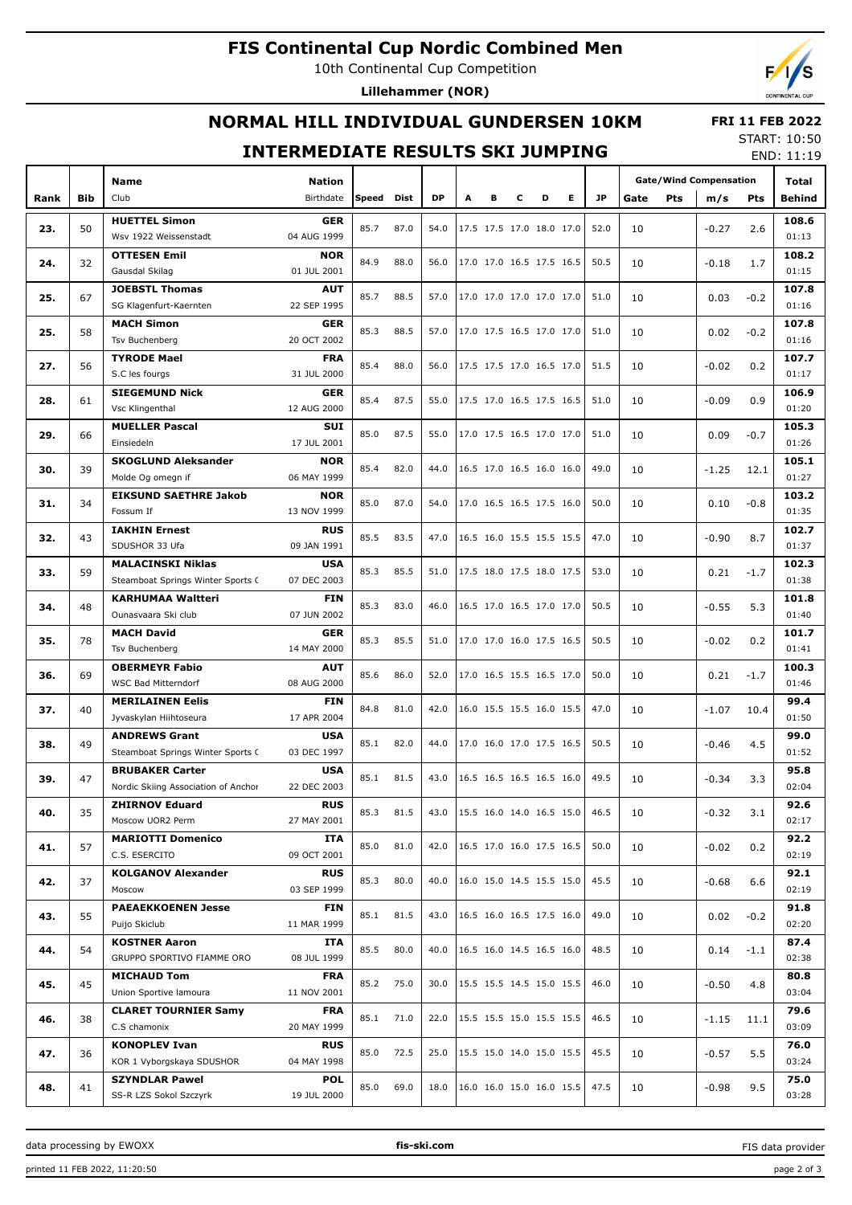# **FIS Continental Cup Nordic Combined Men**

10th Continental Cup Competition

Lillehammer (NOR)

## NORMAL HILL INDIVIDUAL GUNDERSEN 10KM

#### **INTERMEDIATE RESULTS SKI JUMPING**

**START: 10:50**  $FND: 11.19$ 

**FRI 11 FEB 2022** 

| <b>Gate/Wind Compensation</b><br>Club<br>Birthdate<br>Speed<br>Dist<br><b>DP</b><br>Е<br><b>JP</b><br>Rank<br><b>Bib</b><br>A<br>в<br>С<br>D<br>Gate<br>Pts<br>Pts<br>Behind<br>m/s<br><b>HUETTEL Simon</b><br><b>GER</b><br>108.6<br>50<br>85.7<br>87.0<br>54.0<br>17.5 17.5 17.0 18.0 17.0<br>52.0<br>23.<br>10<br>2.6<br>$-0.27$<br>Wsv 1922 Weissenstadt<br>04 AUG 1999<br>01:13<br><b>OTTESEN Emil</b><br>108.2<br>NOR<br>32<br>84.9<br>88.0<br>17.0 17.0 16.5 17.5 16.5<br>50.5<br>24.<br>56.0<br>10<br>$-0.18$<br>1.7<br>Gausdal Skilag<br>01 JUL 2001<br>01:15<br><b>JOEBSTL Thomas</b><br><b>AUT</b><br>107.8<br>25.<br>67<br>85.7<br>88.5<br>17.0 17.0 17.0 17.0 17.0<br>57.0<br>51.0<br>10<br>0.03<br>$-0.2$<br>SG Klagenfurt-Kaernten<br>22 SEP 1995<br>01:16<br><b>MACH Simon</b><br>107.8<br>GER<br>25.<br>58<br>85.3<br>88.5<br>17.0 17.5 16.5 17.0 17.0<br>57.0<br>51.0<br>10<br>0.02<br>$-0.2$<br>20 OCT 2002<br>01:16<br><b>Tsv Buchenberg</b><br><b>TYRODE Mael</b><br><b>FRA</b><br>107.7<br>85.4<br>27.<br>56<br>88.0<br>17.5 17.5 17.0 16.5 17.0<br>51.5<br>56.0<br>10<br>$-0.02$<br>0.2<br>31 JUL 2000<br>01:17<br>S.C les fourgs<br><b>SIEGEMUND Nick</b><br><b>GER</b><br>106.9<br>28.<br>85.4<br>87.5<br>17.5 17.0 16.5 17.5 16.5<br>0.9<br>61<br>55.0<br>51.0<br>10<br>$-0.09$<br>Vsc Klingenthal<br>12 AUG 2000<br>01:20<br><b>MUELLER Pascal</b><br><b>SUI</b><br>105.3<br>29.<br>66<br>85.0<br>87.5<br>17.0 17.5 16.5 17.0 17.0<br>0.09<br>55.0<br>51.0<br>10<br>$-0.7$<br>Einsiedeln<br>17 JUL 2001<br>01:26<br><b>SKOGLUND Aleksander</b><br>105.1<br>NOR<br>85.4<br>30.<br>39<br>82.0<br>16.5 17.0 16.5 16.0 16.0<br>49.0<br>44.0<br>10<br>$-1.25$<br>12.1<br>06 MAY 1999<br>01:27<br>Molde Og omegn if<br><b>EIKSUND SAETHRE Jakob</b><br>103.2<br>NOR<br>85.0<br>34<br>87.0<br>17.0 16.5 16.5 17.5 16.0<br>50.0<br>31.<br>54.0<br>10<br>0.10<br>$-0.8$<br>Fossum If<br>13 NOV 1999<br>01:35<br><b>IAKHIN Ernest</b><br><b>RUS</b><br>102.7<br>32.<br>43<br>85.5<br>83.5<br>47.0<br>16.5 16.0 15.5 15.5 15.5<br>47.0<br>10<br>$-0.90$<br>8.7<br>SDUSHOR 33 Ufa<br>09 JAN 1991<br>01:37<br><b>MALACINSKI Niklas</b><br><b>USA</b><br>102.3<br>33.<br>59<br>85.3<br>85.5<br>17.5 18.0 17.5 18.0 17.5<br>53.0<br>51.0<br>10<br>0.21<br>$-1.7$<br>07 DEC 2003<br>01:38<br>Steamboat Springs Winter Sports C<br><b>KARHUMAA Waltteri</b><br>101.8<br>FIN<br>48<br>85.3<br>83.0<br>16.5 17.0 16.5 17.0 17.0<br>50.5<br>34.<br>46.0<br>10<br>$-0.55$<br>5.3<br>Ounasvaara Ski club<br>07 JUN 2002<br>01:40<br><b>MACH David</b><br><b>GER</b><br>101.7<br>35.<br>78<br>85.3<br>85.5<br>17.0 17.0 16.0 17.5 16.5<br>50.5<br>51.0<br>10<br>$-0.02$<br>0.2<br>14 MAY 2000<br>01:41<br>Tsv Buchenberg<br><b>OBERMEYR Fabio</b><br><b>AUT</b><br>100.3<br>36.<br>69<br>85.6<br>86.0<br>17.0 16.5 15.5 16.5 17.0<br>50.0<br>52.0<br>10<br>0.21<br>$-1.7$<br>WSC Bad Mitterndorf<br>08 AUG 2000<br>01:46<br><b>MERILAINEN Eelis</b><br>99.4<br>FIN<br>37.<br>40<br>84.8<br>81.0<br>42.0<br>16.0 15.5 15.5 16.0 15.5<br>47.0<br>10<br>$-1.07$<br>10.4<br>17 APR 2004<br>01:50<br>Jyvaskylan Hiihtoseura<br>99.0<br><b>ANDREWS Grant</b><br>USA<br>49<br>85.1<br>82.0<br>44.0<br>17.0 16.0 17.0 17.5 16.5<br>50.5<br>38.<br>10<br>$-0.46$<br>4.5<br>03 DEC 1997<br>01:52<br>Steamboat Springs Winter Sports C<br>95.8<br><b>BRUBAKER Carter</b><br><b>USA</b><br>85.1<br>39.<br>47<br>81.5<br>43.0<br>16.5 16.5 16.5 16.5 16.0<br>49.5<br>10<br>$-0.34$<br>3.3<br>22 DEC 2003<br>02:04<br>Nordic Skiing Association of Anchor<br><b>ZHIRNOV Eduard</b><br><b>RUS</b><br>92.6<br>40.<br>35<br>85.3<br>81.5<br>15.5 16.0 14.0 16.5 15.0<br>43.0<br>46.5<br>10<br>$-0.32$<br>3.1<br>Moscow UOR2 Perm<br>27 MAY 2001<br>02:17<br>92.2<br><b>MARIOTTI Domenico</b><br>ITA<br>85.0<br>41.<br>57<br>81.0<br>42.0<br>16.5 17.0 16.0 17.5 16.5<br>50.0<br>10<br>$-0.02$<br>0.2<br>C.S. ESERCITO<br>09 OCT 2001<br>02:19<br><b>KOLGANOV Alexander</b><br><b>RUS</b><br>92.1<br>42.<br>37<br>85.3<br>80.0<br>40.0<br>16.0 15.0 14.5 15.5 15.0<br>45.5<br>10<br>6.6<br>$-0.68$<br>03 SEP 1999<br>02:19<br>Moscow<br><b>PAEAEKKOENEN Jesse</b><br>91.8<br><b>FIN</b><br>55<br>85.1<br>81.5<br>16.5 16.0 16.5 17.5 16.0<br>49.0<br>43.0<br>43.<br>10<br>$-0.2$<br>0.02<br>Puijo Skiclub<br>11 MAR 1999<br>02:20<br><b>KOSTNER Aaron</b><br>87.4<br>ITA<br>85.5<br>80.0<br>40.0<br>16.5 16.0 14.5 16.5 16.0<br>48.5<br>54<br>44.<br>10<br>0.14<br>$-1.1$<br>GRUPPO SPORTIVO FIAMME ORO<br>08 JUL 1999<br>02:38<br><b>MICHAUD Tom</b><br>80.8<br><b>FRA</b><br>45<br>85.2<br>75.0<br>15.5 15.5 14.5 15.0 15.5<br>46.0<br>45.<br>30.0<br>10<br>$-0.50$<br>4.8<br>Union Sportive lamoura<br>11 NOV 2001<br>03:04<br><b>CLARET TOURNIER Samy</b><br>79.6<br><b>FRA</b><br>85.1<br>71.0<br>15.5 15.5 15.0 15.5 15.5<br>46.5<br>46.<br>38<br>22.0<br>10<br>$-1.15$<br>11.1<br>C.S chamonix<br>20 MAY 1999<br>03:09<br><b>KONOPLEV Ivan</b><br>76.0<br><b>RUS</b><br>85.0<br>72.5<br>25.0<br>15.5 15.0 14.0 15.0 15.5<br>45.5<br>47.<br>36<br>10<br>5.5<br>$-0.57$<br>KOR 1 Vyborgskaya SDUSHOR<br>04 MAY 1998<br>03:24<br><b>SZYNDLAR Pawel</b><br><b>POL</b><br>75.0<br>85.0<br>69.0<br>18.0<br>16.0 16.0 15.0 16.0 15.5<br>47.5<br>9.5<br>48.<br>41<br>10<br>$-0.98$<br>19 JUL 2000<br>SS-R LZS Sokol Szczyrk<br>03:28 |  |  |      |               |  |  |  |  |  |  |  |  |  |  |       |  |
|-----------------------------------------------------------------------------------------------------------------------------------------------------------------------------------------------------------------------------------------------------------------------------------------------------------------------------------------------------------------------------------------------------------------------------------------------------------------------------------------------------------------------------------------------------------------------------------------------------------------------------------------------------------------------------------------------------------------------------------------------------------------------------------------------------------------------------------------------------------------------------------------------------------------------------------------------------------------------------------------------------------------------------------------------------------------------------------------------------------------------------------------------------------------------------------------------------------------------------------------------------------------------------------------------------------------------------------------------------------------------------------------------------------------------------------------------------------------------------------------------------------------------------------------------------------------------------------------------------------------------------------------------------------------------------------------------------------------------------------------------------------------------------------------------------------------------------------------------------------------------------------------------------------------------------------------------------------------------------------------------------------------------------------------------------------------------------------------------------------------------------------------------------------------------------------------------------------------------------------------------------------------------------------------------------------------------------------------------------------------------------------------------------------------------------------------------------------------------------------------------------------------------------------------------------------------------------------------------------------------------------------------------------------------------------------------------------------------------------------------------------------------------------------------------------------------------------------------------------------------------------------------------------------------------------------------------------------------------------------------------------------------------------------------------------------------------------------------------------------------------------------------------------------------------------------------------------------------------------------------------------------------------------------------------------------------------------------------------------------------------------------------------------------------------------------------------------------------------------------------------------------------------------------------------------------------------------------------------------------------------------------------------------------------------------------------------------------------------------------------------------------------------------------------------------------------------------------------------------------------------------------------------------------------------------------------------------------------------------------------------------------------------------------------------------------------------------------------------------------------------------------------------------------------------------------------------------------------------------------------------------------------------------------------------------------------------------------------------------------------------------------------------------------------------------------------------------------------------------------------------------------------------------------------------------------------------------------------------------------------------------------------------------------------------------------------------------------------------------------------------------------------------------------------------------------------------------------------------------------------------------------------------------------------------------------------------------------------------------------------------------------------------------------------------------------------------------------------------------------------------------------------------------------------------------------------------------------------------------------------------------------------------------------------------------------------------|--|--|------|---------------|--|--|--|--|--|--|--|--|--|--|-------|--|
|                                                                                                                                                                                                                                                                                                                                                                                                                                                                                                                                                                                                                                                                                                                                                                                                                                                                                                                                                                                                                                                                                                                                                                                                                                                                                                                                                                                                                                                                                                                                                                                                                                                                                                                                                                                                                                                                                                                                                                                                                                                                                                                                                                                                                                                                                                                                                                                                                                                                                                                                                                                                                                                                                                                                                                                                                                                                                                                                                                                                                                                                                                                                                                                                                                                                                                                                                                                                                                                                                                                                                                                                                                                                                                                                                                                                                                                                                                                                                                                                                                                                                                                                                                                                                                                                                                                                                                                                                                                                                                                                                                                                                                                                                                                                                                                                                                                                                                                                                                                                                                                                                                                                                                                                                                                                                                                       |  |  | Name | <b>Nation</b> |  |  |  |  |  |  |  |  |  |  | Total |  |
|                                                                                                                                                                                                                                                                                                                                                                                                                                                                                                                                                                                                                                                                                                                                                                                                                                                                                                                                                                                                                                                                                                                                                                                                                                                                                                                                                                                                                                                                                                                                                                                                                                                                                                                                                                                                                                                                                                                                                                                                                                                                                                                                                                                                                                                                                                                                                                                                                                                                                                                                                                                                                                                                                                                                                                                                                                                                                                                                                                                                                                                                                                                                                                                                                                                                                                                                                                                                                                                                                                                                                                                                                                                                                                                                                                                                                                                                                                                                                                                                                                                                                                                                                                                                                                                                                                                                                                                                                                                                                                                                                                                                                                                                                                                                                                                                                                                                                                                                                                                                                                                                                                                                                                                                                                                                                                                       |  |  |      |               |  |  |  |  |  |  |  |  |  |  |       |  |
|                                                                                                                                                                                                                                                                                                                                                                                                                                                                                                                                                                                                                                                                                                                                                                                                                                                                                                                                                                                                                                                                                                                                                                                                                                                                                                                                                                                                                                                                                                                                                                                                                                                                                                                                                                                                                                                                                                                                                                                                                                                                                                                                                                                                                                                                                                                                                                                                                                                                                                                                                                                                                                                                                                                                                                                                                                                                                                                                                                                                                                                                                                                                                                                                                                                                                                                                                                                                                                                                                                                                                                                                                                                                                                                                                                                                                                                                                                                                                                                                                                                                                                                                                                                                                                                                                                                                                                                                                                                                                                                                                                                                                                                                                                                                                                                                                                                                                                                                                                                                                                                                                                                                                                                                                                                                                                                       |  |  |      |               |  |  |  |  |  |  |  |  |  |  |       |  |
|                                                                                                                                                                                                                                                                                                                                                                                                                                                                                                                                                                                                                                                                                                                                                                                                                                                                                                                                                                                                                                                                                                                                                                                                                                                                                                                                                                                                                                                                                                                                                                                                                                                                                                                                                                                                                                                                                                                                                                                                                                                                                                                                                                                                                                                                                                                                                                                                                                                                                                                                                                                                                                                                                                                                                                                                                                                                                                                                                                                                                                                                                                                                                                                                                                                                                                                                                                                                                                                                                                                                                                                                                                                                                                                                                                                                                                                                                                                                                                                                                                                                                                                                                                                                                                                                                                                                                                                                                                                                                                                                                                                                                                                                                                                                                                                                                                                                                                                                                                                                                                                                                                                                                                                                                                                                                                                       |  |  |      |               |  |  |  |  |  |  |  |  |  |  |       |  |
|                                                                                                                                                                                                                                                                                                                                                                                                                                                                                                                                                                                                                                                                                                                                                                                                                                                                                                                                                                                                                                                                                                                                                                                                                                                                                                                                                                                                                                                                                                                                                                                                                                                                                                                                                                                                                                                                                                                                                                                                                                                                                                                                                                                                                                                                                                                                                                                                                                                                                                                                                                                                                                                                                                                                                                                                                                                                                                                                                                                                                                                                                                                                                                                                                                                                                                                                                                                                                                                                                                                                                                                                                                                                                                                                                                                                                                                                                                                                                                                                                                                                                                                                                                                                                                                                                                                                                                                                                                                                                                                                                                                                                                                                                                                                                                                                                                                                                                                                                                                                                                                                                                                                                                                                                                                                                                                       |  |  |      |               |  |  |  |  |  |  |  |  |  |  |       |  |
|                                                                                                                                                                                                                                                                                                                                                                                                                                                                                                                                                                                                                                                                                                                                                                                                                                                                                                                                                                                                                                                                                                                                                                                                                                                                                                                                                                                                                                                                                                                                                                                                                                                                                                                                                                                                                                                                                                                                                                                                                                                                                                                                                                                                                                                                                                                                                                                                                                                                                                                                                                                                                                                                                                                                                                                                                                                                                                                                                                                                                                                                                                                                                                                                                                                                                                                                                                                                                                                                                                                                                                                                                                                                                                                                                                                                                                                                                                                                                                                                                                                                                                                                                                                                                                                                                                                                                                                                                                                                                                                                                                                                                                                                                                                                                                                                                                                                                                                                                                                                                                                                                                                                                                                                                                                                                                                       |  |  |      |               |  |  |  |  |  |  |  |  |  |  |       |  |
|                                                                                                                                                                                                                                                                                                                                                                                                                                                                                                                                                                                                                                                                                                                                                                                                                                                                                                                                                                                                                                                                                                                                                                                                                                                                                                                                                                                                                                                                                                                                                                                                                                                                                                                                                                                                                                                                                                                                                                                                                                                                                                                                                                                                                                                                                                                                                                                                                                                                                                                                                                                                                                                                                                                                                                                                                                                                                                                                                                                                                                                                                                                                                                                                                                                                                                                                                                                                                                                                                                                                                                                                                                                                                                                                                                                                                                                                                                                                                                                                                                                                                                                                                                                                                                                                                                                                                                                                                                                                                                                                                                                                                                                                                                                                                                                                                                                                                                                                                                                                                                                                                                                                                                                                                                                                                                                       |  |  |      |               |  |  |  |  |  |  |  |  |  |  |       |  |
|                                                                                                                                                                                                                                                                                                                                                                                                                                                                                                                                                                                                                                                                                                                                                                                                                                                                                                                                                                                                                                                                                                                                                                                                                                                                                                                                                                                                                                                                                                                                                                                                                                                                                                                                                                                                                                                                                                                                                                                                                                                                                                                                                                                                                                                                                                                                                                                                                                                                                                                                                                                                                                                                                                                                                                                                                                                                                                                                                                                                                                                                                                                                                                                                                                                                                                                                                                                                                                                                                                                                                                                                                                                                                                                                                                                                                                                                                                                                                                                                                                                                                                                                                                                                                                                                                                                                                                                                                                                                                                                                                                                                                                                                                                                                                                                                                                                                                                                                                                                                                                                                                                                                                                                                                                                                                                                       |  |  |      |               |  |  |  |  |  |  |  |  |  |  |       |  |
|                                                                                                                                                                                                                                                                                                                                                                                                                                                                                                                                                                                                                                                                                                                                                                                                                                                                                                                                                                                                                                                                                                                                                                                                                                                                                                                                                                                                                                                                                                                                                                                                                                                                                                                                                                                                                                                                                                                                                                                                                                                                                                                                                                                                                                                                                                                                                                                                                                                                                                                                                                                                                                                                                                                                                                                                                                                                                                                                                                                                                                                                                                                                                                                                                                                                                                                                                                                                                                                                                                                                                                                                                                                                                                                                                                                                                                                                                                                                                                                                                                                                                                                                                                                                                                                                                                                                                                                                                                                                                                                                                                                                                                                                                                                                                                                                                                                                                                                                                                                                                                                                                                                                                                                                                                                                                                                       |  |  |      |               |  |  |  |  |  |  |  |  |  |  |       |  |
|                                                                                                                                                                                                                                                                                                                                                                                                                                                                                                                                                                                                                                                                                                                                                                                                                                                                                                                                                                                                                                                                                                                                                                                                                                                                                                                                                                                                                                                                                                                                                                                                                                                                                                                                                                                                                                                                                                                                                                                                                                                                                                                                                                                                                                                                                                                                                                                                                                                                                                                                                                                                                                                                                                                                                                                                                                                                                                                                                                                                                                                                                                                                                                                                                                                                                                                                                                                                                                                                                                                                                                                                                                                                                                                                                                                                                                                                                                                                                                                                                                                                                                                                                                                                                                                                                                                                                                                                                                                                                                                                                                                                                                                                                                                                                                                                                                                                                                                                                                                                                                                                                                                                                                                                                                                                                                                       |  |  |      |               |  |  |  |  |  |  |  |  |  |  |       |  |
|                                                                                                                                                                                                                                                                                                                                                                                                                                                                                                                                                                                                                                                                                                                                                                                                                                                                                                                                                                                                                                                                                                                                                                                                                                                                                                                                                                                                                                                                                                                                                                                                                                                                                                                                                                                                                                                                                                                                                                                                                                                                                                                                                                                                                                                                                                                                                                                                                                                                                                                                                                                                                                                                                                                                                                                                                                                                                                                                                                                                                                                                                                                                                                                                                                                                                                                                                                                                                                                                                                                                                                                                                                                                                                                                                                                                                                                                                                                                                                                                                                                                                                                                                                                                                                                                                                                                                                                                                                                                                                                                                                                                                                                                                                                                                                                                                                                                                                                                                                                                                                                                                                                                                                                                                                                                                                                       |  |  |      |               |  |  |  |  |  |  |  |  |  |  |       |  |
|                                                                                                                                                                                                                                                                                                                                                                                                                                                                                                                                                                                                                                                                                                                                                                                                                                                                                                                                                                                                                                                                                                                                                                                                                                                                                                                                                                                                                                                                                                                                                                                                                                                                                                                                                                                                                                                                                                                                                                                                                                                                                                                                                                                                                                                                                                                                                                                                                                                                                                                                                                                                                                                                                                                                                                                                                                                                                                                                                                                                                                                                                                                                                                                                                                                                                                                                                                                                                                                                                                                                                                                                                                                                                                                                                                                                                                                                                                                                                                                                                                                                                                                                                                                                                                                                                                                                                                                                                                                                                                                                                                                                                                                                                                                                                                                                                                                                                                                                                                                                                                                                                                                                                                                                                                                                                                                       |  |  |      |               |  |  |  |  |  |  |  |  |  |  |       |  |
|                                                                                                                                                                                                                                                                                                                                                                                                                                                                                                                                                                                                                                                                                                                                                                                                                                                                                                                                                                                                                                                                                                                                                                                                                                                                                                                                                                                                                                                                                                                                                                                                                                                                                                                                                                                                                                                                                                                                                                                                                                                                                                                                                                                                                                                                                                                                                                                                                                                                                                                                                                                                                                                                                                                                                                                                                                                                                                                                                                                                                                                                                                                                                                                                                                                                                                                                                                                                                                                                                                                                                                                                                                                                                                                                                                                                                                                                                                                                                                                                                                                                                                                                                                                                                                                                                                                                                                                                                                                                                                                                                                                                                                                                                                                                                                                                                                                                                                                                                                                                                                                                                                                                                                                                                                                                                                                       |  |  |      |               |  |  |  |  |  |  |  |  |  |  |       |  |
|                                                                                                                                                                                                                                                                                                                                                                                                                                                                                                                                                                                                                                                                                                                                                                                                                                                                                                                                                                                                                                                                                                                                                                                                                                                                                                                                                                                                                                                                                                                                                                                                                                                                                                                                                                                                                                                                                                                                                                                                                                                                                                                                                                                                                                                                                                                                                                                                                                                                                                                                                                                                                                                                                                                                                                                                                                                                                                                                                                                                                                                                                                                                                                                                                                                                                                                                                                                                                                                                                                                                                                                                                                                                                                                                                                                                                                                                                                                                                                                                                                                                                                                                                                                                                                                                                                                                                                                                                                                                                                                                                                                                                                                                                                                                                                                                                                                                                                                                                                                                                                                                                                                                                                                                                                                                                                                       |  |  |      |               |  |  |  |  |  |  |  |  |  |  |       |  |
|                                                                                                                                                                                                                                                                                                                                                                                                                                                                                                                                                                                                                                                                                                                                                                                                                                                                                                                                                                                                                                                                                                                                                                                                                                                                                                                                                                                                                                                                                                                                                                                                                                                                                                                                                                                                                                                                                                                                                                                                                                                                                                                                                                                                                                                                                                                                                                                                                                                                                                                                                                                                                                                                                                                                                                                                                                                                                                                                                                                                                                                                                                                                                                                                                                                                                                                                                                                                                                                                                                                                                                                                                                                                                                                                                                                                                                                                                                                                                                                                                                                                                                                                                                                                                                                                                                                                                                                                                                                                                                                                                                                                                                                                                                                                                                                                                                                                                                                                                                                                                                                                                                                                                                                                                                                                                                                       |  |  |      |               |  |  |  |  |  |  |  |  |  |  |       |  |
|                                                                                                                                                                                                                                                                                                                                                                                                                                                                                                                                                                                                                                                                                                                                                                                                                                                                                                                                                                                                                                                                                                                                                                                                                                                                                                                                                                                                                                                                                                                                                                                                                                                                                                                                                                                                                                                                                                                                                                                                                                                                                                                                                                                                                                                                                                                                                                                                                                                                                                                                                                                                                                                                                                                                                                                                                                                                                                                                                                                                                                                                                                                                                                                                                                                                                                                                                                                                                                                                                                                                                                                                                                                                                                                                                                                                                                                                                                                                                                                                                                                                                                                                                                                                                                                                                                                                                                                                                                                                                                                                                                                                                                                                                                                                                                                                                                                                                                                                                                                                                                                                                                                                                                                                                                                                                                                       |  |  |      |               |  |  |  |  |  |  |  |  |  |  |       |  |
|                                                                                                                                                                                                                                                                                                                                                                                                                                                                                                                                                                                                                                                                                                                                                                                                                                                                                                                                                                                                                                                                                                                                                                                                                                                                                                                                                                                                                                                                                                                                                                                                                                                                                                                                                                                                                                                                                                                                                                                                                                                                                                                                                                                                                                                                                                                                                                                                                                                                                                                                                                                                                                                                                                                                                                                                                                                                                                                                                                                                                                                                                                                                                                                                                                                                                                                                                                                                                                                                                                                                                                                                                                                                                                                                                                                                                                                                                                                                                                                                                                                                                                                                                                                                                                                                                                                                                                                                                                                                                                                                                                                                                                                                                                                                                                                                                                                                                                                                                                                                                                                                                                                                                                                                                                                                                                                       |  |  |      |               |  |  |  |  |  |  |  |  |  |  |       |  |
|                                                                                                                                                                                                                                                                                                                                                                                                                                                                                                                                                                                                                                                                                                                                                                                                                                                                                                                                                                                                                                                                                                                                                                                                                                                                                                                                                                                                                                                                                                                                                                                                                                                                                                                                                                                                                                                                                                                                                                                                                                                                                                                                                                                                                                                                                                                                                                                                                                                                                                                                                                                                                                                                                                                                                                                                                                                                                                                                                                                                                                                                                                                                                                                                                                                                                                                                                                                                                                                                                                                                                                                                                                                                                                                                                                                                                                                                                                                                                                                                                                                                                                                                                                                                                                                                                                                                                                                                                                                                                                                                                                                                                                                                                                                                                                                                                                                                                                                                                                                                                                                                                                                                                                                                                                                                                                                       |  |  |      |               |  |  |  |  |  |  |  |  |  |  |       |  |
|                                                                                                                                                                                                                                                                                                                                                                                                                                                                                                                                                                                                                                                                                                                                                                                                                                                                                                                                                                                                                                                                                                                                                                                                                                                                                                                                                                                                                                                                                                                                                                                                                                                                                                                                                                                                                                                                                                                                                                                                                                                                                                                                                                                                                                                                                                                                                                                                                                                                                                                                                                                                                                                                                                                                                                                                                                                                                                                                                                                                                                                                                                                                                                                                                                                                                                                                                                                                                                                                                                                                                                                                                                                                                                                                                                                                                                                                                                                                                                                                                                                                                                                                                                                                                                                                                                                                                                                                                                                                                                                                                                                                                                                                                                                                                                                                                                                                                                                                                                                                                                                                                                                                                                                                                                                                                                                       |  |  |      |               |  |  |  |  |  |  |  |  |  |  |       |  |
|                                                                                                                                                                                                                                                                                                                                                                                                                                                                                                                                                                                                                                                                                                                                                                                                                                                                                                                                                                                                                                                                                                                                                                                                                                                                                                                                                                                                                                                                                                                                                                                                                                                                                                                                                                                                                                                                                                                                                                                                                                                                                                                                                                                                                                                                                                                                                                                                                                                                                                                                                                                                                                                                                                                                                                                                                                                                                                                                                                                                                                                                                                                                                                                                                                                                                                                                                                                                                                                                                                                                                                                                                                                                                                                                                                                                                                                                                                                                                                                                                                                                                                                                                                                                                                                                                                                                                                                                                                                                                                                                                                                                                                                                                                                                                                                                                                                                                                                                                                                                                                                                                                                                                                                                                                                                                                                       |  |  |      |               |  |  |  |  |  |  |  |  |  |  |       |  |
|                                                                                                                                                                                                                                                                                                                                                                                                                                                                                                                                                                                                                                                                                                                                                                                                                                                                                                                                                                                                                                                                                                                                                                                                                                                                                                                                                                                                                                                                                                                                                                                                                                                                                                                                                                                                                                                                                                                                                                                                                                                                                                                                                                                                                                                                                                                                                                                                                                                                                                                                                                                                                                                                                                                                                                                                                                                                                                                                                                                                                                                                                                                                                                                                                                                                                                                                                                                                                                                                                                                                                                                                                                                                                                                                                                                                                                                                                                                                                                                                                                                                                                                                                                                                                                                                                                                                                                                                                                                                                                                                                                                                                                                                                                                                                                                                                                                                                                                                                                                                                                                                                                                                                                                                                                                                                                                       |  |  |      |               |  |  |  |  |  |  |  |  |  |  |       |  |
|                                                                                                                                                                                                                                                                                                                                                                                                                                                                                                                                                                                                                                                                                                                                                                                                                                                                                                                                                                                                                                                                                                                                                                                                                                                                                                                                                                                                                                                                                                                                                                                                                                                                                                                                                                                                                                                                                                                                                                                                                                                                                                                                                                                                                                                                                                                                                                                                                                                                                                                                                                                                                                                                                                                                                                                                                                                                                                                                                                                                                                                                                                                                                                                                                                                                                                                                                                                                                                                                                                                                                                                                                                                                                                                                                                                                                                                                                                                                                                                                                                                                                                                                                                                                                                                                                                                                                                                                                                                                                                                                                                                                                                                                                                                                                                                                                                                                                                                                                                                                                                                                                                                                                                                                                                                                                                                       |  |  |      |               |  |  |  |  |  |  |  |  |  |  |       |  |
|                                                                                                                                                                                                                                                                                                                                                                                                                                                                                                                                                                                                                                                                                                                                                                                                                                                                                                                                                                                                                                                                                                                                                                                                                                                                                                                                                                                                                                                                                                                                                                                                                                                                                                                                                                                                                                                                                                                                                                                                                                                                                                                                                                                                                                                                                                                                                                                                                                                                                                                                                                                                                                                                                                                                                                                                                                                                                                                                                                                                                                                                                                                                                                                                                                                                                                                                                                                                                                                                                                                                                                                                                                                                                                                                                                                                                                                                                                                                                                                                                                                                                                                                                                                                                                                                                                                                                                                                                                                                                                                                                                                                                                                                                                                                                                                                                                                                                                                                                                                                                                                                                                                                                                                                                                                                                                                       |  |  |      |               |  |  |  |  |  |  |  |  |  |  |       |  |
|                                                                                                                                                                                                                                                                                                                                                                                                                                                                                                                                                                                                                                                                                                                                                                                                                                                                                                                                                                                                                                                                                                                                                                                                                                                                                                                                                                                                                                                                                                                                                                                                                                                                                                                                                                                                                                                                                                                                                                                                                                                                                                                                                                                                                                                                                                                                                                                                                                                                                                                                                                                                                                                                                                                                                                                                                                                                                                                                                                                                                                                                                                                                                                                                                                                                                                                                                                                                                                                                                                                                                                                                                                                                                                                                                                                                                                                                                                                                                                                                                                                                                                                                                                                                                                                                                                                                                                                                                                                                                                                                                                                                                                                                                                                                                                                                                                                                                                                                                                                                                                                                                                                                                                                                                                                                                                                       |  |  |      |               |  |  |  |  |  |  |  |  |  |  |       |  |
|                                                                                                                                                                                                                                                                                                                                                                                                                                                                                                                                                                                                                                                                                                                                                                                                                                                                                                                                                                                                                                                                                                                                                                                                                                                                                                                                                                                                                                                                                                                                                                                                                                                                                                                                                                                                                                                                                                                                                                                                                                                                                                                                                                                                                                                                                                                                                                                                                                                                                                                                                                                                                                                                                                                                                                                                                                                                                                                                                                                                                                                                                                                                                                                                                                                                                                                                                                                                                                                                                                                                                                                                                                                                                                                                                                                                                                                                                                                                                                                                                                                                                                                                                                                                                                                                                                                                                                                                                                                                                                                                                                                                                                                                                                                                                                                                                                                                                                                                                                                                                                                                                                                                                                                                                                                                                                                       |  |  |      |               |  |  |  |  |  |  |  |  |  |  |       |  |
|                                                                                                                                                                                                                                                                                                                                                                                                                                                                                                                                                                                                                                                                                                                                                                                                                                                                                                                                                                                                                                                                                                                                                                                                                                                                                                                                                                                                                                                                                                                                                                                                                                                                                                                                                                                                                                                                                                                                                                                                                                                                                                                                                                                                                                                                                                                                                                                                                                                                                                                                                                                                                                                                                                                                                                                                                                                                                                                                                                                                                                                                                                                                                                                                                                                                                                                                                                                                                                                                                                                                                                                                                                                                                                                                                                                                                                                                                                                                                                                                                                                                                                                                                                                                                                                                                                                                                                                                                                                                                                                                                                                                                                                                                                                                                                                                                                                                                                                                                                                                                                                                                                                                                                                                                                                                                                                       |  |  |      |               |  |  |  |  |  |  |  |  |  |  |       |  |
|                                                                                                                                                                                                                                                                                                                                                                                                                                                                                                                                                                                                                                                                                                                                                                                                                                                                                                                                                                                                                                                                                                                                                                                                                                                                                                                                                                                                                                                                                                                                                                                                                                                                                                                                                                                                                                                                                                                                                                                                                                                                                                                                                                                                                                                                                                                                                                                                                                                                                                                                                                                                                                                                                                                                                                                                                                                                                                                                                                                                                                                                                                                                                                                                                                                                                                                                                                                                                                                                                                                                                                                                                                                                                                                                                                                                                                                                                                                                                                                                                                                                                                                                                                                                                                                                                                                                                                                                                                                                                                                                                                                                                                                                                                                                                                                                                                                                                                                                                                                                                                                                                                                                                                                                                                                                                                                       |  |  |      |               |  |  |  |  |  |  |  |  |  |  |       |  |
|                                                                                                                                                                                                                                                                                                                                                                                                                                                                                                                                                                                                                                                                                                                                                                                                                                                                                                                                                                                                                                                                                                                                                                                                                                                                                                                                                                                                                                                                                                                                                                                                                                                                                                                                                                                                                                                                                                                                                                                                                                                                                                                                                                                                                                                                                                                                                                                                                                                                                                                                                                                                                                                                                                                                                                                                                                                                                                                                                                                                                                                                                                                                                                                                                                                                                                                                                                                                                                                                                                                                                                                                                                                                                                                                                                                                                                                                                                                                                                                                                                                                                                                                                                                                                                                                                                                                                                                                                                                                                                                                                                                                                                                                                                                                                                                                                                                                                                                                                                                                                                                                                                                                                                                                                                                                                                                       |  |  |      |               |  |  |  |  |  |  |  |  |  |  |       |  |
|                                                                                                                                                                                                                                                                                                                                                                                                                                                                                                                                                                                                                                                                                                                                                                                                                                                                                                                                                                                                                                                                                                                                                                                                                                                                                                                                                                                                                                                                                                                                                                                                                                                                                                                                                                                                                                                                                                                                                                                                                                                                                                                                                                                                                                                                                                                                                                                                                                                                                                                                                                                                                                                                                                                                                                                                                                                                                                                                                                                                                                                                                                                                                                                                                                                                                                                                                                                                                                                                                                                                                                                                                                                                                                                                                                                                                                                                                                                                                                                                                                                                                                                                                                                                                                                                                                                                                                                                                                                                                                                                                                                                                                                                                                                                                                                                                                                                                                                                                                                                                                                                                                                                                                                                                                                                                                                       |  |  |      |               |  |  |  |  |  |  |  |  |  |  |       |  |
|                                                                                                                                                                                                                                                                                                                                                                                                                                                                                                                                                                                                                                                                                                                                                                                                                                                                                                                                                                                                                                                                                                                                                                                                                                                                                                                                                                                                                                                                                                                                                                                                                                                                                                                                                                                                                                                                                                                                                                                                                                                                                                                                                                                                                                                                                                                                                                                                                                                                                                                                                                                                                                                                                                                                                                                                                                                                                                                                                                                                                                                                                                                                                                                                                                                                                                                                                                                                                                                                                                                                                                                                                                                                                                                                                                                                                                                                                                                                                                                                                                                                                                                                                                                                                                                                                                                                                                                                                                                                                                                                                                                                                                                                                                                                                                                                                                                                                                                                                                                                                                                                                                                                                                                                                                                                                                                       |  |  |      |               |  |  |  |  |  |  |  |  |  |  |       |  |
|                                                                                                                                                                                                                                                                                                                                                                                                                                                                                                                                                                                                                                                                                                                                                                                                                                                                                                                                                                                                                                                                                                                                                                                                                                                                                                                                                                                                                                                                                                                                                                                                                                                                                                                                                                                                                                                                                                                                                                                                                                                                                                                                                                                                                                                                                                                                                                                                                                                                                                                                                                                                                                                                                                                                                                                                                                                                                                                                                                                                                                                                                                                                                                                                                                                                                                                                                                                                                                                                                                                                                                                                                                                                                                                                                                                                                                                                                                                                                                                                                                                                                                                                                                                                                                                                                                                                                                                                                                                                                                                                                                                                                                                                                                                                                                                                                                                                                                                                                                                                                                                                                                                                                                                                                                                                                                                       |  |  |      |               |  |  |  |  |  |  |  |  |  |  |       |  |
|                                                                                                                                                                                                                                                                                                                                                                                                                                                                                                                                                                                                                                                                                                                                                                                                                                                                                                                                                                                                                                                                                                                                                                                                                                                                                                                                                                                                                                                                                                                                                                                                                                                                                                                                                                                                                                                                                                                                                                                                                                                                                                                                                                                                                                                                                                                                                                                                                                                                                                                                                                                                                                                                                                                                                                                                                                                                                                                                                                                                                                                                                                                                                                                                                                                                                                                                                                                                                                                                                                                                                                                                                                                                                                                                                                                                                                                                                                                                                                                                                                                                                                                                                                                                                                                                                                                                                                                                                                                                                                                                                                                                                                                                                                                                                                                                                                                                                                                                                                                                                                                                                                                                                                                                                                                                                                                       |  |  |      |               |  |  |  |  |  |  |  |  |  |  |       |  |
|                                                                                                                                                                                                                                                                                                                                                                                                                                                                                                                                                                                                                                                                                                                                                                                                                                                                                                                                                                                                                                                                                                                                                                                                                                                                                                                                                                                                                                                                                                                                                                                                                                                                                                                                                                                                                                                                                                                                                                                                                                                                                                                                                                                                                                                                                                                                                                                                                                                                                                                                                                                                                                                                                                                                                                                                                                                                                                                                                                                                                                                                                                                                                                                                                                                                                                                                                                                                                                                                                                                                                                                                                                                                                                                                                                                                                                                                                                                                                                                                                                                                                                                                                                                                                                                                                                                                                                                                                                                                                                                                                                                                                                                                                                                                                                                                                                                                                                                                                                                                                                                                                                                                                                                                                                                                                                                       |  |  |      |               |  |  |  |  |  |  |  |  |  |  |       |  |
|                                                                                                                                                                                                                                                                                                                                                                                                                                                                                                                                                                                                                                                                                                                                                                                                                                                                                                                                                                                                                                                                                                                                                                                                                                                                                                                                                                                                                                                                                                                                                                                                                                                                                                                                                                                                                                                                                                                                                                                                                                                                                                                                                                                                                                                                                                                                                                                                                                                                                                                                                                                                                                                                                                                                                                                                                                                                                                                                                                                                                                                                                                                                                                                                                                                                                                                                                                                                                                                                                                                                                                                                                                                                                                                                                                                                                                                                                                                                                                                                                                                                                                                                                                                                                                                                                                                                                                                                                                                                                                                                                                                                                                                                                                                                                                                                                                                                                                                                                                                                                                                                                                                                                                                                                                                                                                                       |  |  |      |               |  |  |  |  |  |  |  |  |  |  |       |  |
|                                                                                                                                                                                                                                                                                                                                                                                                                                                                                                                                                                                                                                                                                                                                                                                                                                                                                                                                                                                                                                                                                                                                                                                                                                                                                                                                                                                                                                                                                                                                                                                                                                                                                                                                                                                                                                                                                                                                                                                                                                                                                                                                                                                                                                                                                                                                                                                                                                                                                                                                                                                                                                                                                                                                                                                                                                                                                                                                                                                                                                                                                                                                                                                                                                                                                                                                                                                                                                                                                                                                                                                                                                                                                                                                                                                                                                                                                                                                                                                                                                                                                                                                                                                                                                                                                                                                                                                                                                                                                                                                                                                                                                                                                                                                                                                                                                                                                                                                                                                                                                                                                                                                                                                                                                                                                                                       |  |  |      |               |  |  |  |  |  |  |  |  |  |  |       |  |
|                                                                                                                                                                                                                                                                                                                                                                                                                                                                                                                                                                                                                                                                                                                                                                                                                                                                                                                                                                                                                                                                                                                                                                                                                                                                                                                                                                                                                                                                                                                                                                                                                                                                                                                                                                                                                                                                                                                                                                                                                                                                                                                                                                                                                                                                                                                                                                                                                                                                                                                                                                                                                                                                                                                                                                                                                                                                                                                                                                                                                                                                                                                                                                                                                                                                                                                                                                                                                                                                                                                                                                                                                                                                                                                                                                                                                                                                                                                                                                                                                                                                                                                                                                                                                                                                                                                                                                                                                                                                                                                                                                                                                                                                                                                                                                                                                                                                                                                                                                                                                                                                                                                                                                                                                                                                                                                       |  |  |      |               |  |  |  |  |  |  |  |  |  |  |       |  |
|                                                                                                                                                                                                                                                                                                                                                                                                                                                                                                                                                                                                                                                                                                                                                                                                                                                                                                                                                                                                                                                                                                                                                                                                                                                                                                                                                                                                                                                                                                                                                                                                                                                                                                                                                                                                                                                                                                                                                                                                                                                                                                                                                                                                                                                                                                                                                                                                                                                                                                                                                                                                                                                                                                                                                                                                                                                                                                                                                                                                                                                                                                                                                                                                                                                                                                                                                                                                                                                                                                                                                                                                                                                                                                                                                                                                                                                                                                                                                                                                                                                                                                                                                                                                                                                                                                                                                                                                                                                                                                                                                                                                                                                                                                                                                                                                                                                                                                                                                                                                                                                                                                                                                                                                                                                                                                                       |  |  |      |               |  |  |  |  |  |  |  |  |  |  |       |  |
|                                                                                                                                                                                                                                                                                                                                                                                                                                                                                                                                                                                                                                                                                                                                                                                                                                                                                                                                                                                                                                                                                                                                                                                                                                                                                                                                                                                                                                                                                                                                                                                                                                                                                                                                                                                                                                                                                                                                                                                                                                                                                                                                                                                                                                                                                                                                                                                                                                                                                                                                                                                                                                                                                                                                                                                                                                                                                                                                                                                                                                                                                                                                                                                                                                                                                                                                                                                                                                                                                                                                                                                                                                                                                                                                                                                                                                                                                                                                                                                                                                                                                                                                                                                                                                                                                                                                                                                                                                                                                                                                                                                                                                                                                                                                                                                                                                                                                                                                                                                                                                                                                                                                                                                                                                                                                                                       |  |  |      |               |  |  |  |  |  |  |  |  |  |  |       |  |
|                                                                                                                                                                                                                                                                                                                                                                                                                                                                                                                                                                                                                                                                                                                                                                                                                                                                                                                                                                                                                                                                                                                                                                                                                                                                                                                                                                                                                                                                                                                                                                                                                                                                                                                                                                                                                                                                                                                                                                                                                                                                                                                                                                                                                                                                                                                                                                                                                                                                                                                                                                                                                                                                                                                                                                                                                                                                                                                                                                                                                                                                                                                                                                                                                                                                                                                                                                                                                                                                                                                                                                                                                                                                                                                                                                                                                                                                                                                                                                                                                                                                                                                                                                                                                                                                                                                                                                                                                                                                                                                                                                                                                                                                                                                                                                                                                                                                                                                                                                                                                                                                                                                                                                                                                                                                                                                       |  |  |      |               |  |  |  |  |  |  |  |  |  |  |       |  |
|                                                                                                                                                                                                                                                                                                                                                                                                                                                                                                                                                                                                                                                                                                                                                                                                                                                                                                                                                                                                                                                                                                                                                                                                                                                                                                                                                                                                                                                                                                                                                                                                                                                                                                                                                                                                                                                                                                                                                                                                                                                                                                                                                                                                                                                                                                                                                                                                                                                                                                                                                                                                                                                                                                                                                                                                                                                                                                                                                                                                                                                                                                                                                                                                                                                                                                                                                                                                                                                                                                                                                                                                                                                                                                                                                                                                                                                                                                                                                                                                                                                                                                                                                                                                                                                                                                                                                                                                                                                                                                                                                                                                                                                                                                                                                                                                                                                                                                                                                                                                                                                                                                                                                                                                                                                                                                                       |  |  |      |               |  |  |  |  |  |  |  |  |  |  |       |  |
|                                                                                                                                                                                                                                                                                                                                                                                                                                                                                                                                                                                                                                                                                                                                                                                                                                                                                                                                                                                                                                                                                                                                                                                                                                                                                                                                                                                                                                                                                                                                                                                                                                                                                                                                                                                                                                                                                                                                                                                                                                                                                                                                                                                                                                                                                                                                                                                                                                                                                                                                                                                                                                                                                                                                                                                                                                                                                                                                                                                                                                                                                                                                                                                                                                                                                                                                                                                                                                                                                                                                                                                                                                                                                                                                                                                                                                                                                                                                                                                                                                                                                                                                                                                                                                                                                                                                                                                                                                                                                                                                                                                                                                                                                                                                                                                                                                                                                                                                                                                                                                                                                                                                                                                                                                                                                                                       |  |  |      |               |  |  |  |  |  |  |  |  |  |  |       |  |
|                                                                                                                                                                                                                                                                                                                                                                                                                                                                                                                                                                                                                                                                                                                                                                                                                                                                                                                                                                                                                                                                                                                                                                                                                                                                                                                                                                                                                                                                                                                                                                                                                                                                                                                                                                                                                                                                                                                                                                                                                                                                                                                                                                                                                                                                                                                                                                                                                                                                                                                                                                                                                                                                                                                                                                                                                                                                                                                                                                                                                                                                                                                                                                                                                                                                                                                                                                                                                                                                                                                                                                                                                                                                                                                                                                                                                                                                                                                                                                                                                                                                                                                                                                                                                                                                                                                                                                                                                                                                                                                                                                                                                                                                                                                                                                                                                                                                                                                                                                                                                                                                                                                                                                                                                                                                                                                       |  |  |      |               |  |  |  |  |  |  |  |  |  |  |       |  |
|                                                                                                                                                                                                                                                                                                                                                                                                                                                                                                                                                                                                                                                                                                                                                                                                                                                                                                                                                                                                                                                                                                                                                                                                                                                                                                                                                                                                                                                                                                                                                                                                                                                                                                                                                                                                                                                                                                                                                                                                                                                                                                                                                                                                                                                                                                                                                                                                                                                                                                                                                                                                                                                                                                                                                                                                                                                                                                                                                                                                                                                                                                                                                                                                                                                                                                                                                                                                                                                                                                                                                                                                                                                                                                                                                                                                                                                                                                                                                                                                                                                                                                                                                                                                                                                                                                                                                                                                                                                                                                                                                                                                                                                                                                                                                                                                                                                                                                                                                                                                                                                                                                                                                                                                                                                                                                                       |  |  |      |               |  |  |  |  |  |  |  |  |  |  |       |  |
|                                                                                                                                                                                                                                                                                                                                                                                                                                                                                                                                                                                                                                                                                                                                                                                                                                                                                                                                                                                                                                                                                                                                                                                                                                                                                                                                                                                                                                                                                                                                                                                                                                                                                                                                                                                                                                                                                                                                                                                                                                                                                                                                                                                                                                                                                                                                                                                                                                                                                                                                                                                                                                                                                                                                                                                                                                                                                                                                                                                                                                                                                                                                                                                                                                                                                                                                                                                                                                                                                                                                                                                                                                                                                                                                                                                                                                                                                                                                                                                                                                                                                                                                                                                                                                                                                                                                                                                                                                                                                                                                                                                                                                                                                                                                                                                                                                                                                                                                                                                                                                                                                                                                                                                                                                                                                                                       |  |  |      |               |  |  |  |  |  |  |  |  |  |  |       |  |
|                                                                                                                                                                                                                                                                                                                                                                                                                                                                                                                                                                                                                                                                                                                                                                                                                                                                                                                                                                                                                                                                                                                                                                                                                                                                                                                                                                                                                                                                                                                                                                                                                                                                                                                                                                                                                                                                                                                                                                                                                                                                                                                                                                                                                                                                                                                                                                                                                                                                                                                                                                                                                                                                                                                                                                                                                                                                                                                                                                                                                                                                                                                                                                                                                                                                                                                                                                                                                                                                                                                                                                                                                                                                                                                                                                                                                                                                                                                                                                                                                                                                                                                                                                                                                                                                                                                                                                                                                                                                                                                                                                                                                                                                                                                                                                                                                                                                                                                                                                                                                                                                                                                                                                                                                                                                                                                       |  |  |      |               |  |  |  |  |  |  |  |  |  |  |       |  |
|                                                                                                                                                                                                                                                                                                                                                                                                                                                                                                                                                                                                                                                                                                                                                                                                                                                                                                                                                                                                                                                                                                                                                                                                                                                                                                                                                                                                                                                                                                                                                                                                                                                                                                                                                                                                                                                                                                                                                                                                                                                                                                                                                                                                                                                                                                                                                                                                                                                                                                                                                                                                                                                                                                                                                                                                                                                                                                                                                                                                                                                                                                                                                                                                                                                                                                                                                                                                                                                                                                                                                                                                                                                                                                                                                                                                                                                                                                                                                                                                                                                                                                                                                                                                                                                                                                                                                                                                                                                                                                                                                                                                                                                                                                                                                                                                                                                                                                                                                                                                                                                                                                                                                                                                                                                                                                                       |  |  |      |               |  |  |  |  |  |  |  |  |  |  |       |  |
|                                                                                                                                                                                                                                                                                                                                                                                                                                                                                                                                                                                                                                                                                                                                                                                                                                                                                                                                                                                                                                                                                                                                                                                                                                                                                                                                                                                                                                                                                                                                                                                                                                                                                                                                                                                                                                                                                                                                                                                                                                                                                                                                                                                                                                                                                                                                                                                                                                                                                                                                                                                                                                                                                                                                                                                                                                                                                                                                                                                                                                                                                                                                                                                                                                                                                                                                                                                                                                                                                                                                                                                                                                                                                                                                                                                                                                                                                                                                                                                                                                                                                                                                                                                                                                                                                                                                                                                                                                                                                                                                                                                                                                                                                                                                                                                                                                                                                                                                                                                                                                                                                                                                                                                                                                                                                                                       |  |  |      |               |  |  |  |  |  |  |  |  |  |  |       |  |
|                                                                                                                                                                                                                                                                                                                                                                                                                                                                                                                                                                                                                                                                                                                                                                                                                                                                                                                                                                                                                                                                                                                                                                                                                                                                                                                                                                                                                                                                                                                                                                                                                                                                                                                                                                                                                                                                                                                                                                                                                                                                                                                                                                                                                                                                                                                                                                                                                                                                                                                                                                                                                                                                                                                                                                                                                                                                                                                                                                                                                                                                                                                                                                                                                                                                                                                                                                                                                                                                                                                                                                                                                                                                                                                                                                                                                                                                                                                                                                                                                                                                                                                                                                                                                                                                                                                                                                                                                                                                                                                                                                                                                                                                                                                                                                                                                                                                                                                                                                                                                                                                                                                                                                                                                                                                                                                       |  |  |      |               |  |  |  |  |  |  |  |  |  |  |       |  |
|                                                                                                                                                                                                                                                                                                                                                                                                                                                                                                                                                                                                                                                                                                                                                                                                                                                                                                                                                                                                                                                                                                                                                                                                                                                                                                                                                                                                                                                                                                                                                                                                                                                                                                                                                                                                                                                                                                                                                                                                                                                                                                                                                                                                                                                                                                                                                                                                                                                                                                                                                                                                                                                                                                                                                                                                                                                                                                                                                                                                                                                                                                                                                                                                                                                                                                                                                                                                                                                                                                                                                                                                                                                                                                                                                                                                                                                                                                                                                                                                                                                                                                                                                                                                                                                                                                                                                                                                                                                                                                                                                                                                                                                                                                                                                                                                                                                                                                                                                                                                                                                                                                                                                                                                                                                                                                                       |  |  |      |               |  |  |  |  |  |  |  |  |  |  |       |  |
|                                                                                                                                                                                                                                                                                                                                                                                                                                                                                                                                                                                                                                                                                                                                                                                                                                                                                                                                                                                                                                                                                                                                                                                                                                                                                                                                                                                                                                                                                                                                                                                                                                                                                                                                                                                                                                                                                                                                                                                                                                                                                                                                                                                                                                                                                                                                                                                                                                                                                                                                                                                                                                                                                                                                                                                                                                                                                                                                                                                                                                                                                                                                                                                                                                                                                                                                                                                                                                                                                                                                                                                                                                                                                                                                                                                                                                                                                                                                                                                                                                                                                                                                                                                                                                                                                                                                                                                                                                                                                                                                                                                                                                                                                                                                                                                                                                                                                                                                                                                                                                                                                                                                                                                                                                                                                                                       |  |  |      |               |  |  |  |  |  |  |  |  |  |  |       |  |
|                                                                                                                                                                                                                                                                                                                                                                                                                                                                                                                                                                                                                                                                                                                                                                                                                                                                                                                                                                                                                                                                                                                                                                                                                                                                                                                                                                                                                                                                                                                                                                                                                                                                                                                                                                                                                                                                                                                                                                                                                                                                                                                                                                                                                                                                                                                                                                                                                                                                                                                                                                                                                                                                                                                                                                                                                                                                                                                                                                                                                                                                                                                                                                                                                                                                                                                                                                                                                                                                                                                                                                                                                                                                                                                                                                                                                                                                                                                                                                                                                                                                                                                                                                                                                                                                                                                                                                                                                                                                                                                                                                                                                                                                                                                                                                                                                                                                                                                                                                                                                                                                                                                                                                                                                                                                                                                       |  |  |      |               |  |  |  |  |  |  |  |  |  |  |       |  |
|                                                                                                                                                                                                                                                                                                                                                                                                                                                                                                                                                                                                                                                                                                                                                                                                                                                                                                                                                                                                                                                                                                                                                                                                                                                                                                                                                                                                                                                                                                                                                                                                                                                                                                                                                                                                                                                                                                                                                                                                                                                                                                                                                                                                                                                                                                                                                                                                                                                                                                                                                                                                                                                                                                                                                                                                                                                                                                                                                                                                                                                                                                                                                                                                                                                                                                                                                                                                                                                                                                                                                                                                                                                                                                                                                                                                                                                                                                                                                                                                                                                                                                                                                                                                                                                                                                                                                                                                                                                                                                                                                                                                                                                                                                                                                                                                                                                                                                                                                                                                                                                                                                                                                                                                                                                                                                                       |  |  |      |               |  |  |  |  |  |  |  |  |  |  |       |  |
|                                                                                                                                                                                                                                                                                                                                                                                                                                                                                                                                                                                                                                                                                                                                                                                                                                                                                                                                                                                                                                                                                                                                                                                                                                                                                                                                                                                                                                                                                                                                                                                                                                                                                                                                                                                                                                                                                                                                                                                                                                                                                                                                                                                                                                                                                                                                                                                                                                                                                                                                                                                                                                                                                                                                                                                                                                                                                                                                                                                                                                                                                                                                                                                                                                                                                                                                                                                                                                                                                                                                                                                                                                                                                                                                                                                                                                                                                                                                                                                                                                                                                                                                                                                                                                                                                                                                                                                                                                                                                                                                                                                                                                                                                                                                                                                                                                                                                                                                                                                                                                                                                                                                                                                                                                                                                                                       |  |  |      |               |  |  |  |  |  |  |  |  |  |  |       |  |
|                                                                                                                                                                                                                                                                                                                                                                                                                                                                                                                                                                                                                                                                                                                                                                                                                                                                                                                                                                                                                                                                                                                                                                                                                                                                                                                                                                                                                                                                                                                                                                                                                                                                                                                                                                                                                                                                                                                                                                                                                                                                                                                                                                                                                                                                                                                                                                                                                                                                                                                                                                                                                                                                                                                                                                                                                                                                                                                                                                                                                                                                                                                                                                                                                                                                                                                                                                                                                                                                                                                                                                                                                                                                                                                                                                                                                                                                                                                                                                                                                                                                                                                                                                                                                                                                                                                                                                                                                                                                                                                                                                                                                                                                                                                                                                                                                                                                                                                                                                                                                                                                                                                                                                                                                                                                                                                       |  |  |      |               |  |  |  |  |  |  |  |  |  |  |       |  |
|                                                                                                                                                                                                                                                                                                                                                                                                                                                                                                                                                                                                                                                                                                                                                                                                                                                                                                                                                                                                                                                                                                                                                                                                                                                                                                                                                                                                                                                                                                                                                                                                                                                                                                                                                                                                                                                                                                                                                                                                                                                                                                                                                                                                                                                                                                                                                                                                                                                                                                                                                                                                                                                                                                                                                                                                                                                                                                                                                                                                                                                                                                                                                                                                                                                                                                                                                                                                                                                                                                                                                                                                                                                                                                                                                                                                                                                                                                                                                                                                                                                                                                                                                                                                                                                                                                                                                                                                                                                                                                                                                                                                                                                                                                                                                                                                                                                                                                                                                                                                                                                                                                                                                                                                                                                                                                                       |  |  |      |               |  |  |  |  |  |  |  |  |  |  |       |  |

data processing by EWOXX printed 11 FEB 2022, 11:20:50

FIS data provider